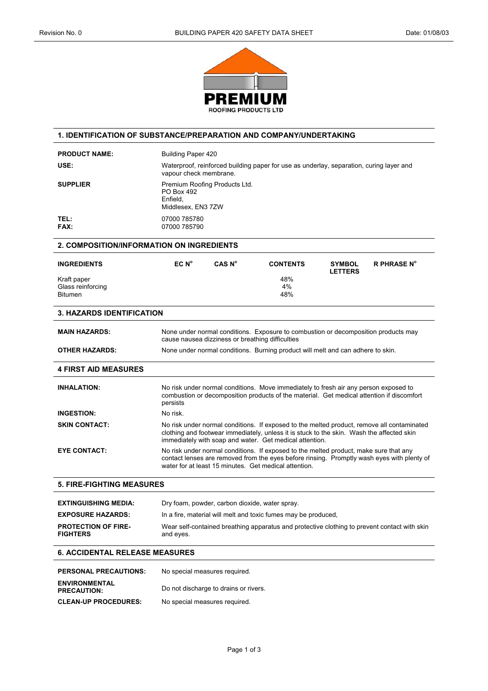

## **1. IDENTIFICATION OF SUBSTANCE/PREPARATION AND COMPANY/UNDERTAKING**

| USE:<br>Waterproof, reinforced building paper for use as underlay, separation, curing layer and<br>vapour check membrane.<br>Premium Roofing Products Ltd.<br><b>SUPPLIER</b><br>PO Box 492<br>Enfield.<br>Middlesex, EN3 7ZW<br>TEL:<br>07000 785780<br>FAX:<br>07000 785790<br><b>2. COMPOSITION/INFORMATION ON INGREDIENTS</b> |                                 |                    |
|-----------------------------------------------------------------------------------------------------------------------------------------------------------------------------------------------------------------------------------------------------------------------------------------------------------------------------------|---------------------------------|--------------------|
|                                                                                                                                                                                                                                                                                                                                   |                                 |                    |
|                                                                                                                                                                                                                                                                                                                                   |                                 |                    |
|                                                                                                                                                                                                                                                                                                                                   |                                 |                    |
|                                                                                                                                                                                                                                                                                                                                   |                                 |                    |
| EC N <sup>o</sup><br>CAS N <sup>o</sup><br><b>INGREDIENTS</b><br><b>CONTENTS</b>                                                                                                                                                                                                                                                  | <b>SYMBOL</b><br><b>LETTERS</b> | <b>R PHRASE N°</b> |
| 48%<br>Kraft paper<br>4%<br>Glass reinforcing<br><b>Bitumen</b><br>48%                                                                                                                                                                                                                                                            |                                 |                    |
| <b>3. HAZARDS IDENTIFICATION</b>                                                                                                                                                                                                                                                                                                  |                                 |                    |
| <b>MAIN HAZARDS:</b><br>None under normal conditions. Exposure to combustion or decomposition products may<br>cause nausea dizziness or breathing difficulties                                                                                                                                                                    |                                 |                    |
| <b>OTHER HAZARDS:</b><br>None under normal conditions. Burning product will melt and can adhere to skin.                                                                                                                                                                                                                          |                                 |                    |
| <b>4 FIRST AID MEASURES</b>                                                                                                                                                                                                                                                                                                       |                                 |                    |
| <b>INHALATION:</b><br>No risk under normal conditions. Move immediately to fresh air any person exposed to<br>combustion or decomposition products of the material. Get medical attention if discomfort<br>persists                                                                                                               |                                 |                    |
| <b>INGESTION:</b><br>No risk.                                                                                                                                                                                                                                                                                                     |                                 |                    |
| <b>SKIN CONTACT:</b><br>No risk under normal conditions. If exposed to the melted product, remove all contaminated<br>clothing and footwear immediately, unless it is stuck to the skin. Wash the affected skin<br>immediately with soap and water. Get medical attention.                                                        |                                 |                    |
| <b>EYE CONTACT:</b><br>No risk under normal conditions. If exposed to the melted product, make sure that any<br>contact lenses are removed from the eyes before rinsing. Promptly wash eyes with plenty of<br>water for at least 15 minutes. Get medical attention.                                                               |                                 |                    |
| <b>5. FIRE-FIGHTING MEASURES</b>                                                                                                                                                                                                                                                                                                  |                                 |                    |
| <b>EXTINGUISHING MEDIA:</b><br>Dry foam, powder, carbon dioxide, water spray.                                                                                                                                                                                                                                                     |                                 |                    |
| <b>EXPOSURE HAZARDS:</b><br>In a fire, material will melt and toxic fumes may be produced,                                                                                                                                                                                                                                        |                                 |                    |
| <b>PROTECTION OF FIRE-</b><br>Wear self-contained breathing apparatus and protective clothing to prevent contact with skin<br><b>FIGHTERS</b><br>and eyes.                                                                                                                                                                        |                                 |                    |
| <b>6. ACCIDENTAL RELEASE MEASURES</b>                                                                                                                                                                                                                                                                                             |                                 |                    |

| <b>PERSONAL PRECAUTIONS:</b>               | No special measures required.         |
|--------------------------------------------|---------------------------------------|
| <b>ENVIRONMENTAL</b><br><b>PRECAUTION:</b> | Do not discharge to drains or rivers. |
| <b>CLEAN-UP PROCEDURES:</b>                | No special measures required.         |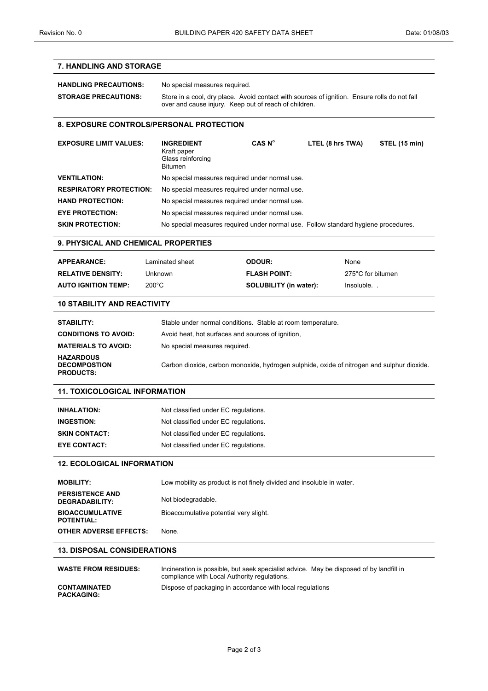## **7. HANDLING AND STORAGE**

| <b>HANDLING PRECAUTIONS:</b> | No special measures required.                                                                                                                         |
|------------------------------|-------------------------------------------------------------------------------------------------------------------------------------------------------|
| <b>STORAGE PRECAUTIONS:</b>  | Store in a cool, dry place. Avoid contact with sources of ignition. Ensure rolls do not fall<br>over and cause injury. Keep out of reach of children. |

#### **8. EXPOSURE CONTROLS/PERSONAL PROTECTION**

| <b>EXPOSURE LIMIT VALUES:</b>  | <b>INGREDIENT</b><br>Kraft paper<br>Glass reinforcing<br><b>Bitumen</b>            | CAS N <sup>o</sup> | LTEL (8 hrs TWA) | STEL (15 min) |
|--------------------------------|------------------------------------------------------------------------------------|--------------------|------------------|---------------|
| <b>VENTILATION:</b>            | No special measures required under normal use.                                     |                    |                  |               |
| <b>RESPIRATORY PROTECTION:</b> | No special measures required under normal use.                                     |                    |                  |               |
| <b>HAND PROTECTION:</b>        | No special measures required under normal use.                                     |                    |                  |               |
| <b>EYE PROTECTION:</b>         | No special measures required under normal use.                                     |                    |                  |               |
| <b>SKIN PROTECTION:</b>        | No special measures required under normal use. Follow standard hygiene procedures. |                    |                  |               |

### **9. PHYSICAL AND CHEMICAL PROPERTIES**

| <b>APPEARANCE:</b>         | Laminated sheet | <b>ODOUR:</b>                 | <b>None</b>       |
|----------------------------|-----------------|-------------------------------|-------------------|
| <b>RELATIVE DENSITY:</b>   | Unknown         | <b>FLASH POINT:</b>           | 275°C for bitumen |
| <b>AUTO IGNITION TEMP:</b> | $200^{\circ}$ C | <b>SOLUBILITY (in water):</b> | Insoluble.        |

#### **10 STABILITY AND REACTIVITY**

| STABILITY:                                                  | Stable under normal conditions. Stable at room temperature.                                |
|-------------------------------------------------------------|--------------------------------------------------------------------------------------------|
| <b>CONDITIONS TO AVOID:</b>                                 | Avoid heat, hot surfaces and sources of ignition,                                          |
| <b>MATERIALS TO AVOID:</b>                                  | No special measures required.                                                              |
| <b>HAZARDOUS</b><br><b>DECOMPOSTION</b><br><b>PRODUCTS:</b> | Carbon dioxide, carbon monoxide, hydrogen sulphide, oxide of nitrogen and sulphur dioxide. |

## **11. TOXICOLOGICAL INFORMATION**

| <b>INHALATION:</b>   | Not classified under EC regulations. |
|----------------------|--------------------------------------|
| <b>INGESTION:</b>    | Not classified under EC regulations. |
| <b>SKIN CONTACT:</b> | Not classified under EC regulations. |
| <b>EYE CONTACT:</b>  | Not classified under EC regulations. |

### **12. ECOLOGICAL INFORMATION**

| <b>MOBILITY:</b>                            | Low mobility as product is not finely divided and insoluble in water. |
|---------------------------------------------|-----------------------------------------------------------------------|
| <b>PERSISTENCE AND</b><br>DEGRADABILITY:    | Not biodegradable.                                                    |
| <b>BIOACCUMULATIVE</b><br><b>POTENTIAL:</b> | Bioaccumulative potential very slight.                                |
| <b>OTHER ADVERSE EFFECTS:</b>               | None.                                                                 |

#### **13. DISPOSAL CONSIDERATIONS**

| <b>WASTE FROM RESIDUES:</b>              | Incineration is possible, but seek specialist advice. May be disposed of by landfill in<br>compliance with Local Authority regulations. |
|------------------------------------------|-----------------------------------------------------------------------------------------------------------------------------------------|
| <b>CONTAMINATED</b><br><b>PACKAGING:</b> | Dispose of packaging in accordance with local regulations                                                                               |